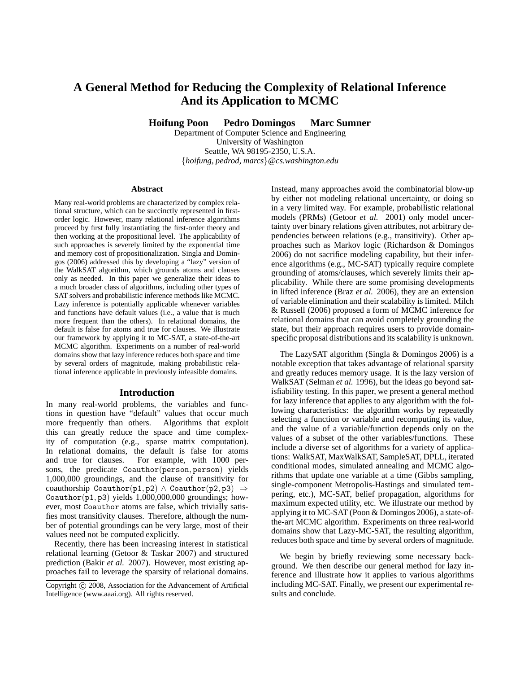# **A General Method for Reducing the Complexity of Relational Inference And its Application to MCMC**

**Hoifung Poon Pedro Domingos Marc Sumner**

Department of Computer Science and Engineering University of Washington Seattle, WA 98195-2350, U.S.A. {*hoifung, pedrod, marcs*}*@cs.washington.edu*

#### **Abstract**

Many real-world problems are characterized by complex relational structure, which can be succinctly represented in firstorder logic. However, many relational inference algorithms proceed by first fully instantiating the first-order theory and then working at the propositional level. The applicability of such approaches is severely limited by the exponential time and memory cost of propositionalization. Singla and Domingos (2006) addressed this by developing a "lazy" version of the WalkSAT algorithm, which grounds atoms and clauses only as needed. In this paper we generalize their ideas to a much broader class of algorithms, including other types of SAT solvers and probabilistic inference methods like MCMC. Lazy inference is potentially applicable whenever variables and functions have default values (i.e., a value that is much more frequent than the others). In relational domains, the default is false for atoms and true for clauses. We illustrate our framework by applying it to MC-SAT, a state-of-the-art MCMC algorithm. Experiments on a number of real-world domains show that lazy inference reduces both space and time by several orders of magnitude, making probabilistic relational inference applicable in previously infeasible domains.

#### **Introduction**

In many real-world problems, the variables and functions in question have "default" values that occur much more frequently than others. Algorithms that exploit this can greatly reduce the space and time complexity of computation (e.g., sparse matrix computation). In relational domains, the default is false for atoms and true for clauses. For example, with 1000 persons, the predicate Coauthor(person, person) yields 1,000,000 groundings, and the clause of transitivity for coauthorship Coauthor(p1, p2)  $\land$  Coauthor(p2, p3)  $\Rightarrow$ Coauthor $(p1, p3)$  yields 1,000,000,000 groundings; however, most Coauthor atoms are false, which trivially satisfies most transitivity clauses. Therefore, although the number of potential groundings can be very large, most of their values need not be computed explicitly.

Recently, there has been increasing interest in statistical relational learning (Getoor & Taskar 2007) and structured prediction (Bakir *et al.* 2007). However, most existing approaches fail to leverage the sparsity of relational domains.

Instead, many approaches avoid the combinatorial blow-up by either not modeling relational uncertainty, or doing so in a very limited way. For example, probabilistic relational models (PRMs) (Getoor *et al.* 2001) only model uncertainty over binary relations given attributes, not arbitrary dependencies between relations (e.g., transitivity). Other approaches such as Markov logic (Richardson & Domingos 2006) do not sacrifice modeling capability, but their inference algorithms (e.g., MC-SAT) typically require complete grounding of atoms/clauses, which severely limits their applicability. While there are some promising developments in lifted inference (Braz *et al.* 2006), they are an extension of variable elimination and their scalability is limited. Milch & Russell (2006) proposed a form of MCMC inference for relational domains that can avoid completely grounding the state, but their approach requires users to provide domainspecific proposal distributions and its scalability is unknown.

The LazySAT algorithm (Singla & Domingos 2006) is a notable exception that takes advantage of relational sparsity and greatly reduces memory usage. It is the lazy version of WalkSAT (Selman *et al.* 1996), but the ideas go beyond satisfiability testing. In this paper, we present a general method for lazy inference that applies to any algorithm with the following characteristics: the algorithm works by repeatedly selecting a function or variable and recomputing its value, and the value of a variable/function depends only on the values of a subset of the other variables/functions. These include a diverse set of algorithms for a variety of applications: WalkSAT, MaxWalkSAT, SampleSAT, DPLL, iterated conditional modes, simulated annealing and MCMC algorithms that update one variable at a time (Gibbs sampling, single-component Metropolis-Hastings and simulated tempering, etc.), MC-SAT, belief propagation, algorithms for maximum expected utility, etc. We illustrate our method by applying it to MC-SAT (Poon & Domingos 2006), a state-ofthe-art MCMC algorithm. Experiments on three real-world domains show that Lazy-MC-SAT, the resulting algorithm, reduces both space and time by several orders of magnitude.

We begin by briefly reviewing some necessary background. We then describe our general method for lazy inference and illustrate how it applies to various algorithms including MC-SAT. Finally, we present our experimental results and conclude.

Copyright (c) 2008, Association for the Advancement of Artificial Intelligence (www.aaai.org). All rights reserved.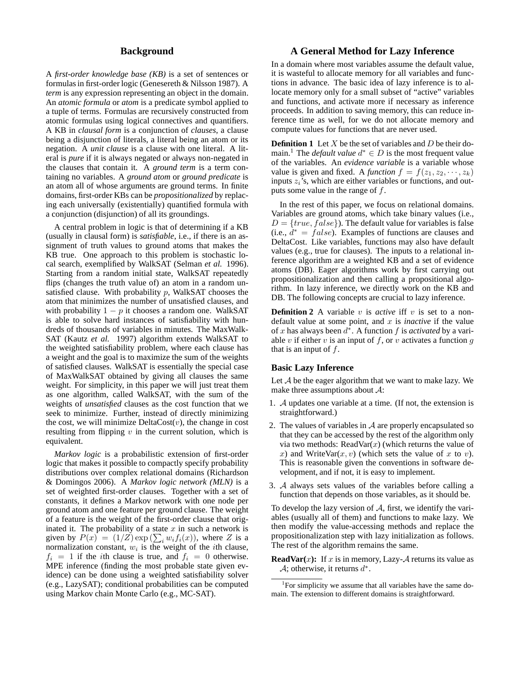# **Background**

A *first-order knowledge base (KB)* is a set of sentences or formulas in first-order logic (Genesereth & Nilsson 1987). A *term* is any expression representing an object in the domain. An *atomic formula* or *atom* is a predicate symbol applied to a tuple of terms. Formulas are recursively constructed from atomic formulas using logical connectives and quantifiers. A KB in *clausal form* is a conjunction of *clauses*, a clause being a disjunction of literals, a literal being an atom or its negation. A *unit clause* is a clause with one literal. A literal is *pure* if it is always negated or always non-negated in the clauses that contain it. A *ground term* is a term containing no variables. A *ground atom* or *ground predicate* is an atom all of whose arguments are ground terms. In finite domains, first-order KBs can be *propositionalized* by replacing each universally (existentially) quantified formula with a conjunction (disjunction) of all its groundings.

A central problem in logic is that of determining if a KB (usually in clausal form) is *satisfiable*, i.e., if there is an assignment of truth values to ground atoms that makes the KB true. One approach to this problem is stochastic local search, exemplified by WalkSAT (Selman *et al.* 1996). Starting from a random initial state, WalkSAT repeatedly flips (changes the truth value of) an atom in a random unsatisfied clause. With probability  $p$ , WalkSAT chooses the atom that minimizes the number of unsatisfied clauses, and with probability  $1 - p$  it chooses a random one. WalkSAT is able to solve hard instances of satisfiability with hundreds of thousands of variables in minutes. The MaxWalk-SAT (Kautz *et al.* 1997) algorithm extends WalkSAT to the weighted satisfiability problem, where each clause has a weight and the goal is to maximize the sum of the weights of satisfied clauses. WalkSAT is essentially the special case of MaxWalkSAT obtained by giving all clauses the same weight. For simplicity, in this paper we will just treat them as one algorithm, called WalkSAT, with the sum of the weights of *unsatisfied* clauses as the cost function that we seek to minimize. Further, instead of directly minimizing the cost, we will minimize  $DeltaCost(v)$ , the change in cost resulting from flipping  $v$  in the current solution, which is equivalent.

*Markov logic* is a probabilistic extension of first-order logic that makes it possible to compactly specify probability distributions over complex relational domains (Richardson & Domingos 2006). A *Markov logic network (MLN)* is a set of weighted first-order clauses. Together with a set of constants, it defines a Markov network with one node per ground atom and one feature per ground clause. The weight of a feature is the weight of the first-order clause that originated it. The probability of a state  $x$  in such a network is given by  $P(x) = (1/Z) \exp(\sum_i w_i f_i(x))$ , where Z is a normalization constant,  $w_i$  is the weight of the *i*th clause,  $f_i = 1$  if the *i*th clause is true, and  $f_i = 0$  otherwise. MPE inference (finding the most probable state given evidence) can be done using a weighted satisfiability solver (e.g., LazySAT); conditional probabilities can be computed using Markov chain Monte Carlo (e.g., MC-SAT).

# **A General Method for Lazy Inference**

In a domain where most variables assume the default value, it is wasteful to allocate memory for all variables and functions in advance. The basic idea of lazy inference is to allocate memory only for a small subset of "active" variables and functions, and activate more if necessary as inference proceeds. In addition to saving memory, this can reduce inference time as well, for we do not allocate memory and compute values for functions that are never used.

**Definition 1** Let X be the set of variables and  $D$  be their domain.<sup>1</sup> The *default value*  $d^* \in D$  is the most frequent value of the variables. An *evidence variable* is a variable whose value is given and fixed. A *function*  $f = f(z_1, z_2, \dots, z_k)$ inputs  $z_i$ 's, which are either variables or functions, and outputs some value in the range of f.

In the rest of this paper, we focus on relational domains. Variables are ground atoms, which take binary values (i.e.,  $D = \{true, false\}$ ). The default value for variables is false (i.e.,  $d^* = false$ ). Examples of functions are clauses and DeltaCost. Like variables, functions may also have default values (e.g., true for clauses). The inputs to a relational inference algorithm are a weighted KB and a set of evidence atoms (DB). Eager algorithms work by first carrying out propositionalization and then calling a propositional algorithm. In lazy inference, we directly work on the KB and DB. The following concepts are crucial to lazy inference.

**Definition 2** A variable v is *active* iff v is set to a nondefault value at some point, and  $x$  is *inactive* if the value of x has always been  $d^*$ . A function f is *activated* by a variable v if either v is an input of f, or v activates a function g that is an input of  $f$ .

#### **Basic Lazy Inference**

Let  $A$  be the eager algorithm that we want to make lazy. We make three assumptions about  $\mathcal{A}$ :

- 1. A updates one variable at a time. (If not, the extension is straightforward.)
- 2. The values of variables in  $A$  are properly encapsulated so that they can be accessed by the rest of the algorithm only via two methods: ReadVar $(x)$  (which returns the value of x) and WriteVar $(x, v)$  (which sets the value of x to v). This is reasonable given the conventions in software development, and if not, it is easy to implement.
- 3. A always sets values of the variables before calling a function that depends on those variables, as it should be.

To develop the lazy version of  $A$ , first, we identify the variables (usually all of them) and functions to make lazy. We then modify the value-accessing methods and replace the propositionalization step with lazy initialization as follows. The rest of the algorithm remains the same.

**ReadVar** $(x)$ : If x is in memory, Lazy-A returns its value as A; otherwise, it returns  $d^*$ .

<sup>&</sup>lt;sup>1</sup>For simplicity we assume that all variables have the same domain. The extension to different domains is straightforward.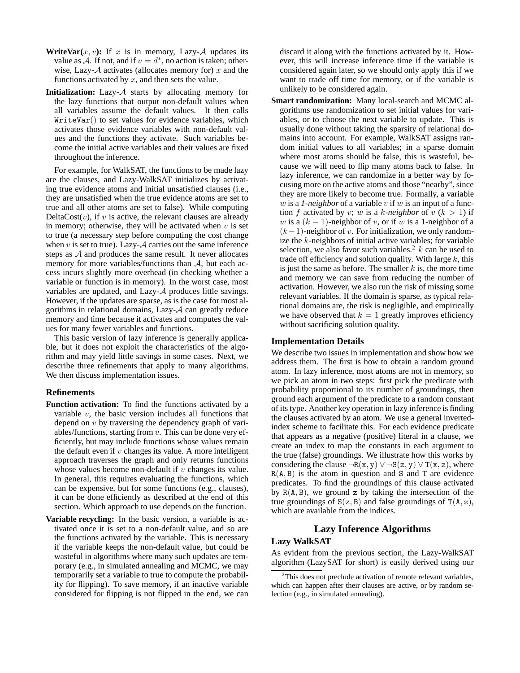- **WriteVar** $(x, y)$ : If x is in memory, Lazy-A updates its value as A. If not, and if  $v = d^*$ , no action is taken; otherwise, Lazy- $A$  activates (allocates memory for)  $x$  and the functions activated by  $x$ , and then sets the value.
- **Initialization:** Lazy-A starts by allocating memory for the lazy functions that output non-default values when all variables assume the default values. It then calls  $WriteVar()$  to set values for evidence variables, which activates those evidence variables with non-default values and the functions they activate. Such variables become the initial active variables and their values are fixed throughout the inference.

For example, for WalkSAT, the functions to be made lazy are the clauses, and Lazy-WalkSAT initializes by activating true evidence atoms and initial unsatisfied clauses (i.e., they are unsatisfied when the true evidence atoms are set to true and all other atoms are set to false). While computing DeltaCost $(v)$ , if v is active, the relevant clauses are already in memory; otherwise, they will be activated when  $v$  is set to true (a necessary step before computing the cost change when  $v$  is set to true). Lazy- $A$  carries out the same inference steps as A and produces the same result. It never allocates memory for more variables/functions than  $A$ , but each access incurs slightly more overhead (in checking whether a variable or function is in memory). In the worst case, most variables are updated, and Lazy-A produces little savings. However, if the updates are sparse, as is the case for most algorithms in relational domains, Lazy-A can greatly reduce memory and time because it activates and computes the values for many fewer variables and functions.

This basic version of lazy inference is generally applicable, but it does not exploit the characteristics of the algorithm and may yield little savings in some cases. Next, we describe three refinements that apply to many algorithms. We then discuss implementation issues.

#### **Refinements**

- **Function activation:** To find the functions activated by a variable  $v$ , the basic version includes all functions that depend on  $v$  by traversing the dependency graph of variables/functions, starting from  $v$ . This can be done very efficiently, but may include functions whose values remain the default even if  $v$  changes its value. A more intelligent approach traverses the graph and only returns functions whose values become non-default if  $v$  changes its value. In general, this requires evaluating the functions, which can be expensive, but for some functions (e.g., clauses), it can be done efficiently as described at the end of this section. Which approach to use depends on the function.
- **Variable recycling:** In the basic version, a variable is activated once it is set to a non-default value, and so are the functions activated by the variable. This is necessary if the variable keeps the non-default value, but could be wasteful in algorithms where many such updates are temporary (e.g., in simulated annealing and MCMC, we may temporarily set a variable to true to compute the probability for flipping). To save memory, if an inactive variable considered for flipping is not flipped in the end, we can

discard it along with the functions activated by it. However, this will increase inference time if the variable is considered again later, so we should only apply this if we want to trade off time for memory, or if the variable is unlikely to be considered again.

**Smart randomization:** Many local-search and MCMC algorithms use randomization to set initial values for variables, or to choose the next variable to update. This is usually done without taking the sparsity of relational domains into account. For example, WalkSAT assigns random initial values to all variables; in a sparse domain where most atoms should be false, this is wasteful, because we will need to flip many atoms back to false. In lazy inference, we can randomize in a better way by focusing more on the active atoms and those "nearby", since they are more likely to become true. Formally, a variable w is a *1-neighbor* of a variable v if w is an input of a function f activated by v; w is a k-neighbor of v  $(k > 1)$  if w is a  $(k - 1)$ -neighbor of v, or if w is a 1-neighbor of a  $(k-1)$ -neighbor of v. For initialization, we only randomize the  $k$ -neighbors of initial active variables; for variable selection, we also favor such variables.<sup>2</sup>  $k$  can be used to trade off efficiency and solution quality. With large  $k$ , this is just the same as before. The smaller  $k$  is, the more time and memory we can save from reducing the number of activation. However, we also run the risk of missing some relevant variables. If the domain is sparse, as typical relational domains are, the risk is negligible, and empirically we have observed that  $k = 1$  greatly improves efficiency without sacrificing solution quality.

#### **Implementation Details**

We describe two issues in implementation and show how we address them. The first is how to obtain a random ground atom. In lazy inference, most atoms are not in memory, so we pick an atom in two steps: first pick the predicate with probability proportional to its number of groundings, then ground each argument of the predicate to a random constant of its type. Another key operation in lazy inference is finding the clauses activated by an atom. We use a general invertedindex scheme to facilitate this. For each evidence predicate that appears as a negative (positive) literal in a clause, we create an index to map the constants in each argument to the true (false) groundings. We illustrate how this works by considering the clause  $\neg R(x, y) \vee \neg S(z, y) \vee T(x, z)$ , where  $R(A, B)$  is the atom in question and S and T are evidence predicates. To find the groundings of this clause activated by  $R(A, B)$ , we ground z by taking the intersection of the true groundings of  $S(z, B)$  and false groundings of  $T(A, z)$ , which are available from the indices.

# **Lazy Inference Algorithms Lazy WalkSAT**

As evident from the previous section, the Lazy-WalkSAT algorithm (LazySAT for short) is easily derived using our

 $2$ This does not preclude activation of remote relevant variables, which can happen after their clauses are active, or by random selection (e.g., in simulated annealing).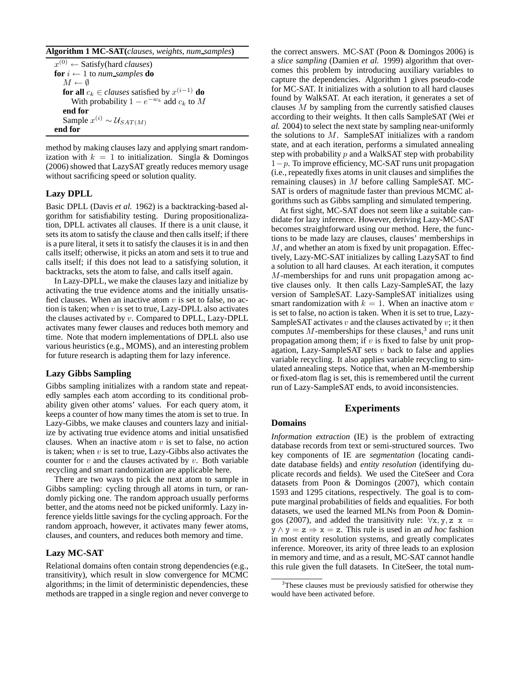# **Algorithm 1 MC-SAT(***clauses, weights, num samples***)**

 $x^{(0)} \leftarrow$  Satisfy(hard *clauses*) **for**  $i \leftarrow 1$  to *num\_samples* **do**  $M \leftarrow \emptyset$ **for all**  $c_k \in clauses$  satisfied by  $x^{(i-1)}$  **do** With probability  $1 - e^{-w_k}$  add  $c_k$  to M **end for** Sample  $x^{(i)} \sim \mathcal{U}_{SAT(M)}$ **end for**

method by making clauses lazy and applying smart randomization with  $k = 1$  to initialization. Singla & Domingos (2006) showed that LazySAT greatly reduces memory usage without sacrificing speed or solution quality.

#### **Lazy DPLL**

Basic DPLL (Davis *et al.* 1962) is a backtracking-based algorithm for satisfiability testing. During propositionalization, DPLL activates all clauses. If there is a unit clause, it sets its atom to satisfy the clause and then calls itself; if there is a pure literal, it sets it to satisfy the clauses it is in and then calls itself; otherwise, it picks an atom and sets it to true and calls itself; if this does not lead to a satisfying solution, it backtracks, sets the atom to false, and calls itself again.

In Lazy-DPLL, we make the clauses lazy and initialize by activating the true evidence atoms and the initially unsatisfied clauses. When an inactive atom  $v$  is set to false, no action is taken; when  $v$  is set to true, Lazy-DPLL also activates the clauses activated by v. Compared to DPLL, Lazy-DPLL activates many fewer clauses and reduces both memory and time. Note that modern implementations of DPLL also use various heuristics (e.g., MOMS), and an interesting problem for future research is adapting them for lazy inference.

# **Lazy Gibbs Sampling**

Gibbs sampling initializes with a random state and repeatedly samples each atom according to its conditional probability given other atoms' values. For each query atom, it keeps a counter of how many times the atom is set to true. In Lazy-Gibbs, we make clauses and counters lazy and initialize by activating true evidence atoms and initial unsatisfied clauses. When an inactive atom  $v$  is set to false, no action is taken; when  $v$  is set to true, Lazy-Gibbs also activates the counter for  $v$  and the clauses activated by  $v$ . Both variable recycling and smart randomization are applicable here.

There are two ways to pick the next atom to sample in Gibbs sampling: cycling through all atoms in turn, or randomly picking one. The random approach usually performs better, and the atoms need not be picked uniformly. Lazy inference yields little savings for the cycling approach. For the random approach, however, it activates many fewer atoms, clauses, and counters, and reduces both memory and time.

### **Lazy MC-SAT**

Relational domains often contain strong dependencies (e.g., transitivity), which result in slow convergence for MCMC algorithms; in the limit of deterministic dependencies, these methods are trapped in a single region and never converge to

the correct answers. MC-SAT (Poon & Domingos 2006) is a *slice sampling* (Damien *et al.* 1999) algorithm that overcomes this problem by introducing auxiliary variables to capture the dependencies. Algorithm 1 gives pseudo-code for MC-SAT. It initializes with a solution to all hard clauses found by WalkSAT. At each iteration, it generates a set of clauses M by sampling from the currently satisfied clauses according to their weights. It then calls SampleSAT (Wei *et al.* 2004) to select the next state by sampling near-uniformly the solutions to  $M$ . SampleSAT initializes with a random state, and at each iteration, performs a simulated annealing step with probability  $p$  and a WalkSAT step with probability  $1-p$ . To improve efficiency, MC-SAT runs unit propagation (i.e., repeatedly fixes atoms in unit clauses and simplifies the remaining clauses) in M before calling SampleSAT. MC-SAT is orders of magnitude faster than previous MCMC algorithms such as Gibbs sampling and simulated tempering.

At first sight, MC-SAT does not seem like a suitable candidate for lazy inference. However, deriving Lazy-MC-SAT becomes straightforward using our method. Here, the functions to be made lazy are clauses, clauses' memberships in M, and whether an atom is fixed by unit propagation. Effectively, Lazy-MC-SAT initializes by calling LazySAT to find a solution to all hard clauses. At each iteration, it computes M-memberships for and runs unit propagation among active clauses only. It then calls Lazy-SampleSAT, the lazy version of SampleSAT. Lazy-SampleSAT initializes using smart randomization with  $k = 1$ . When an inactive atom v is set to false, no action is taken. When it is set to true, Lazy-SampleSAT activates  $v$  and the clauses activated by  $v$ ; it then computes  $M$ -memberships for these clauses,<sup>3</sup> and runs unit propagation among them; if  $v$  is fixed to false by unit propagation, Lazy-SampleSAT sets  $v$  back to false and applies variable recycling. It also applies variable recycling to simulated annealing steps. Notice that, when an M-membership or fixed-atom flag is set, this is remembered until the current run of Lazy-SampleSAT ends, to avoid inconsistencies.

### **Experiments**

#### **Domains**

*Information extraction* (IE) is the problem of extracting database records from text or semi-structured sources. Two key components of IE are *segmentation* (locating candidate database fields) and *entity resolution* (identifying duplicate records and fields). We used the CiteSeer and Cora datasets from Poon & Domingos (2007), which contain 1593 and 1295 citations, respectively. The goal is to compute marginal probabilities of fields and equalities. For both datasets, we used the learned MLNs from Poon & Domingos (2007), and added the transitivity rule:  $\forall x, y, z \; x =$  $y \wedge y = z \Rightarrow x = z$ . This rule is used in an *ad hoc* fashion in most entity resolution systems, and greatly complicates inference. Moreover, its arity of three leads to an explosion in memory and time, and as a result, MC-SAT cannot handle this rule given the full datasets. In CiteSeer, the total num-

<sup>&</sup>lt;sup>3</sup>These clauses must be previously satisfied for otherwise they would have been activated before.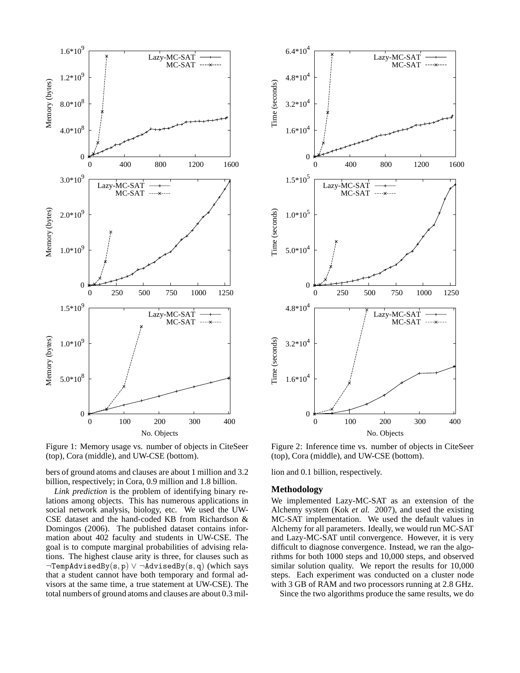

Figure 1: Memory usage vs. number of objects in CiteSeer (top), Cora (middle), and UW-CSE (bottom).

bers of ground atoms and clauses are about 1 million and 3.2 billion, respectively; in Cora, 0.9 million and 1.8 billion.

*Link prediction* is the problem of identifying binary relations among objects. This has numerous applications in social network analysis, biology, etc. We used the UW-CSE dataset and the hand-coded KB from Richardson & Domingos (2006). The published dataset contains information about 402 faculty and students in UW-CSE. The goal is to compute marginal probabilities of advising relations. The highest clause arity is three, for clauses such as ¬TempAdvisedBy(s, p) ∨ ¬AdvisedBy(s, q) (which says that a student cannot have both temporary and formal advisors at the same time, a true statement at UW-CSE). The total numbers of ground atoms and clauses are about 0.3 mil-



Figure 2: Inference time vs. number of objects in CiteSeer (top), Cora (middle), and UW-CSE (bottom).

lion and 0.1 billion, respectively.

#### **Methodology**

We implemented Lazy-MC-SAT as an extension of the Alchemy system (Kok *et al.* 2007), and used the existing MC-SAT implementation. We used the default values in Alchemy for all parameters. Ideally, we would run MC-SAT and Lazy-MC-SAT until convergence. However, it is very difficult to diagnose convergence. Instead, we ran the algorithms for both 1000 steps and 10,000 steps, and observed similar solution quality. We report the results for 10,000 steps. Each experiment was conducted on a cluster node with 3 GB of RAM and two processors running at 2.8 GHz.

Since the two algorithms produce the same results, we do